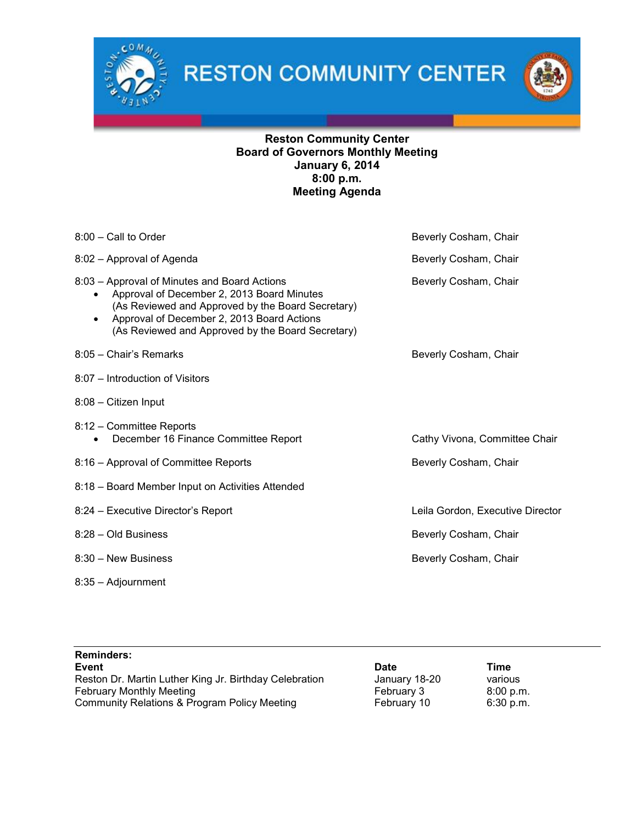

**RESTON COMMUNITY CENTER** 



# Reston Community Center Board of Governors Monthly Meeting January 6, 2014 8:00 p.m. Meeting Agenda

| 8:00 - Call to Order                                                                                                                                                                                                                                            | Beverly Cosham, Chair            |
|-----------------------------------------------------------------------------------------------------------------------------------------------------------------------------------------------------------------------------------------------------------------|----------------------------------|
| 8:02 - Approval of Agenda                                                                                                                                                                                                                                       | Beverly Cosham, Chair            |
| 8:03 – Approval of Minutes and Board Actions<br>Approval of December 2, 2013 Board Minutes<br>(As Reviewed and Approved by the Board Secretary)<br>Approval of December 2, 2013 Board Actions<br>$\bullet$<br>(As Reviewed and Approved by the Board Secretary) | Beverly Cosham, Chair            |
| 8:05 - Chair's Remarks                                                                                                                                                                                                                                          | Beverly Cosham, Chair            |
| 8:07 - Introduction of Visitors                                                                                                                                                                                                                                 |                                  |
| 8:08 - Citizen Input                                                                                                                                                                                                                                            |                                  |
| 8:12 – Committee Reports<br>December 16 Finance Committee Report<br>$\bullet$                                                                                                                                                                                   | Cathy Vivona, Committee Chair    |
| 8:16 - Approval of Committee Reports                                                                                                                                                                                                                            | Beverly Cosham, Chair            |
| 8:18 - Board Member Input on Activities Attended                                                                                                                                                                                                                |                                  |
| 8:24 - Executive Director's Report                                                                                                                                                                                                                              | Leila Gordon, Executive Director |
| 8:28 - Old Business                                                                                                                                                                                                                                             | Beverly Cosham, Chair            |
| 8:30 - New Business                                                                                                                                                                                                                                             | Beverly Cosham, Chair            |
| 8:35 - Adjournment                                                                                                                                                                                                                                              |                                  |

| <b>Reminders:</b>                                      |               |           |  |
|--------------------------------------------------------|---------------|-----------|--|
| Event                                                  | <b>Date</b>   | Time      |  |
| Reston Dr. Martin Luther King Jr. Birthday Celebration | January 18-20 | various   |  |
| <b>February Monthly Meeting</b>                        | February 3    | 8:00 p.m. |  |
| Community Relations & Program Policy Meeting           | February 10   | 6:30 p.m. |  |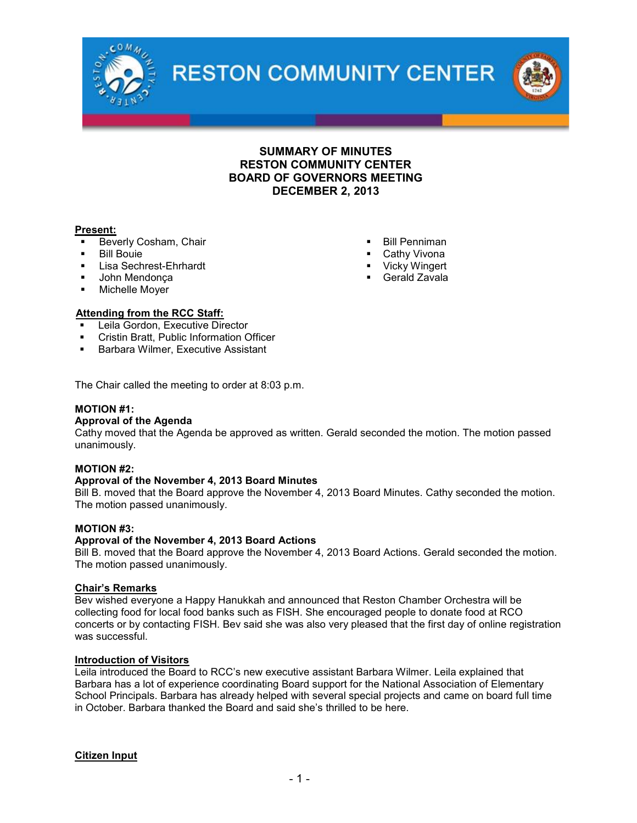

**RESTON COMMUNITY CENTER** 



# SUMMARY OF MINUTES RESTON COMMUNITY CENTER BOARD OF GOVERNORS MEETING DECEMBER 2, 2013

#### Present:

- Beverly Cosham, Chair
- **Bill Bouie**
- **Lisa Sechrest-Ehrhardt**
- John Mendonça
- **Nichelle Moyer**

#### Attending from the RCC Staff:

- Leila Gordon, Executive Director
- **Cristin Bratt, Public Information Officer**
- Barbara Wilmer, Executive Assistant

The Chair called the meeting to order at 8:03 p.m.

#### MOTION #1:

#### Approval of the Agenda

Cathy moved that the Agenda be approved as written. Gerald seconded the motion. The motion passed unanimously.

#### MOTION #2:

#### Approval of the November 4, 2013 Board Minutes

Bill B. moved that the Board approve the November 4, 2013 Board Minutes. Cathy seconded the motion. The motion passed unanimously.

#### MOTION #3:

#### Approval of the November 4, 2013 Board Actions

Bill B. moved that the Board approve the November 4, 2013 Board Actions. Gerald seconded the motion. The motion passed unanimously.

#### Chair's Remarks

Bev wished everyone a Happy Hanukkah and announced that Reston Chamber Orchestra will be collecting food for local food banks such as FISH. She encouraged people to donate food at RCO concerts or by contacting FISH. Bev said she was also very pleased that the first day of online registration was successful.

#### Introduction of Visitors

Leila introduced the Board to RCC's new executive assistant Barbara Wilmer. Leila explained that Barbara has a lot of experience coordinating Board support for the National Association of Elementary School Principals. Barbara has already helped with several special projects and came on board full time in October. Barbara thanked the Board and said she's thrilled to be here.

Citizen Input

- Bill Penniman
- Cathy Vivona
- Vicky Wingert
- Gerald Zavala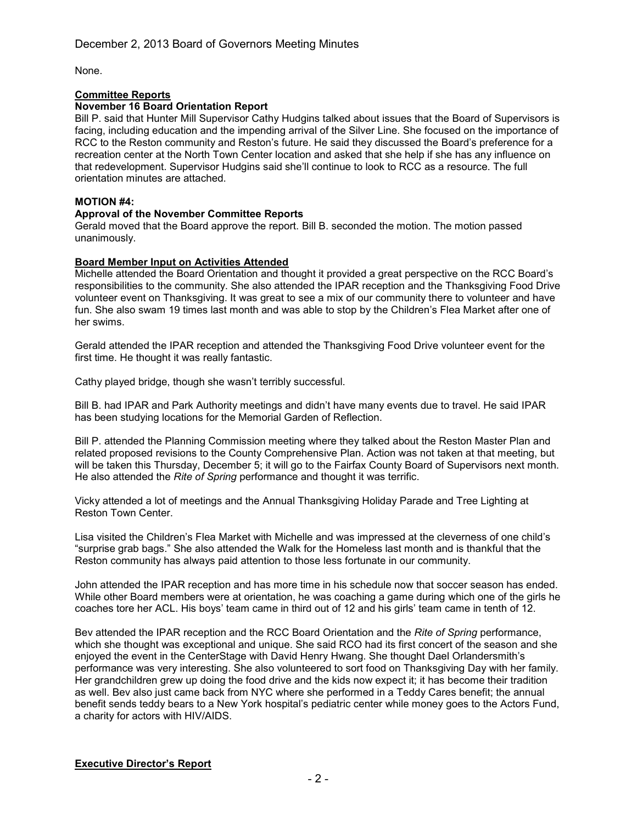None.

## Committee Reports

#### November 16 Board Orientation Report

Bill P. said that Hunter Mill Supervisor Cathy Hudgins talked about issues that the Board of Supervisors is facing, including education and the impending arrival of the Silver Line. She focused on the importance of RCC to the Reston community and Reston's future. He said they discussed the Board's preference for a recreation center at the North Town Center location and asked that she help if she has any influence on that redevelopment. Supervisor Hudgins said she'll continue to look to RCC as a resource. The full orientation minutes are attached.

### MOTION #4:

## Approval of the November Committee Reports

Gerald moved that the Board approve the report. Bill B. seconded the motion. The motion passed unanimously.

## Board Member Input on Activities Attended

Michelle attended the Board Orientation and thought it provided a great perspective on the RCC Board's responsibilities to the community. She also attended the IPAR reception and the Thanksgiving Food Drive volunteer event on Thanksgiving. It was great to see a mix of our community there to volunteer and have fun. She also swam 19 times last month and was able to stop by the Children's Flea Market after one of her swims.

Gerald attended the IPAR reception and attended the Thanksgiving Food Drive volunteer event for the first time. He thought it was really fantastic.

Cathy played bridge, though she wasn't terribly successful.

Bill B. had IPAR and Park Authority meetings and didn't have many events due to travel. He said IPAR has been studying locations for the Memorial Garden of Reflection.

Bill P. attended the Planning Commission meeting where they talked about the Reston Master Plan and related proposed revisions to the County Comprehensive Plan. Action was not taken at that meeting, but will be taken this Thursday, December 5; it will go to the Fairfax County Board of Supervisors next month. He also attended the *Rite of Spring* performance and thought it was terrific.

Vicky attended a lot of meetings and the Annual Thanksgiving Holiday Parade and Tree Lighting at Reston Town Center.

Lisa visited the Children's Flea Market with Michelle and was impressed at the cleverness of one child's "surprise grab bags." She also attended the Walk for the Homeless last month and is thankful that the Reston community has always paid attention to those less fortunate in our community.

John attended the IPAR reception and has more time in his schedule now that soccer season has ended. While other Board members were at orientation, he was coaching a game during which one of the girls he coaches tore her ACL. His boys' team came in third out of 12 and his girls' team came in tenth of 12.

Bev attended the IPAR reception and the RCC Board Orientation and the *Rite of Spring* performance, which she thought was exceptional and unique. She said RCO had its first concert of the season and she enjoyed the event in the CenterStage with David Henry Hwang. She thought Dael Orlandersmith's performance was very interesting. She also volunteered to sort food on Thanksgiving Day with her family. Her grandchildren grew up doing the food drive and the kids now expect it; it has become their tradition as well. Bev also just came back from NYC where she performed in a Teddy Cares benefit; the annual benefit sends teddy bears to a New York hospital's pediatric center while money goes to the Actors Fund, a charity for actors with HIV/AIDS.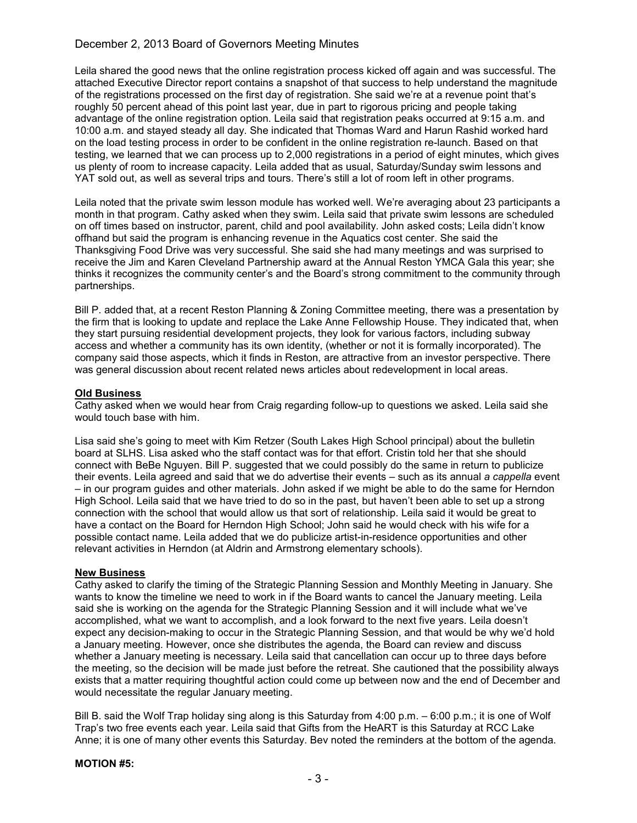# December 2, 2013 Board of Governors Meeting Minutes

Leila shared the good news that the online registration process kicked off again and was successful. The attached Executive Director report contains a snapshot of that success to help understand the magnitude of the registrations processed on the first day of registration. She said we're at a revenue point that's roughly 50 percent ahead of this point last year, due in part to rigorous pricing and people taking advantage of the online registration option. Leila said that registration peaks occurred at 9:15 a.m. and 10:00 a.m. and stayed steady all day. She indicated that Thomas Ward and Harun Rashid worked hard on the load testing process in order to be confident in the online registration re-launch. Based on that testing, we learned that we can process up to 2,000 registrations in a period of eight minutes, which gives us plenty of room to increase capacity. Leila added that as usual, Saturday/Sunday swim lessons and YAT sold out, as well as several trips and tours. There's still a lot of room left in other programs.

Leila noted that the private swim lesson module has worked well. We're averaging about 23 participants a month in that program. Cathy asked when they swim. Leila said that private swim lessons are scheduled on off times based on instructor, parent, child and pool availability. John asked costs; Leila didn't know offhand but said the program is enhancing revenue in the Aquatics cost center. She said the Thanksgiving Food Drive was very successful. She said she had many meetings and was surprised to receive the Jim and Karen Cleveland Partnership award at the Annual Reston YMCA Gala this year; she thinks it recognizes the community center's and the Board's strong commitment to the community through partnerships.

Bill P. added that, at a recent Reston Planning & Zoning Committee meeting, there was a presentation by the firm that is looking to update and replace the Lake Anne Fellowship House. They indicated that, when they start pursuing residential development projects, they look for various factors, including subway access and whether a community has its own identity, (whether or not it is formally incorporated). The company said those aspects, which it finds in Reston, are attractive from an investor perspective. There was general discussion about recent related news articles about redevelopment in local areas.

## Old Business

Cathy asked when we would hear from Craig regarding follow-up to questions we asked. Leila said she would touch base with him.

Lisa said she's going to meet with Kim Retzer (South Lakes High School principal) about the bulletin board at SLHS. Lisa asked who the staff contact was for that effort. Cristin told her that she should connect with BeBe Nguyen. Bill P. suggested that we could possibly do the same in return to publicize their events. Leila agreed and said that we do advertise their events – such as its annual *a cappella* event – in our program guides and other materials. John asked if we might be able to do the same for Herndon High School. Leila said that we have tried to do so in the past, but haven't been able to set up a strong connection with the school that would allow us that sort of relationship. Leila said it would be great to have a contact on the Board for Herndon High School; John said he would check with his wife for a possible contact name. Leila added that we do publicize artist-in-residence opportunities and other relevant activities in Herndon (at Aldrin and Armstrong elementary schools).

#### New Business

Cathy asked to clarify the timing of the Strategic Planning Session and Monthly Meeting in January. She wants to know the timeline we need to work in if the Board wants to cancel the January meeting. Leila said she is working on the agenda for the Strategic Planning Session and it will include what we've accomplished, what we want to accomplish, and a look forward to the next five years. Leila doesn't expect any decision-making to occur in the Strategic Planning Session, and that would be why we'd hold a January meeting. However, once she distributes the agenda, the Board can review and discuss whether a January meeting is necessary. Leila said that cancellation can occur up to three days before the meeting, so the decision will be made just before the retreat. She cautioned that the possibility always exists that a matter requiring thoughtful action could come up between now and the end of December and would necessitate the regular January meeting.

Bill B. said the Wolf Trap holiday sing along is this Saturday from 4:00 p.m. – 6:00 p.m.; it is one of Wolf Trap's two free events each year. Leila said that Gifts from the HeART is this Saturday at RCC Lake Anne; it is one of many other events this Saturday. Bev noted the reminders at the bottom of the agenda.

#### MOTION #5: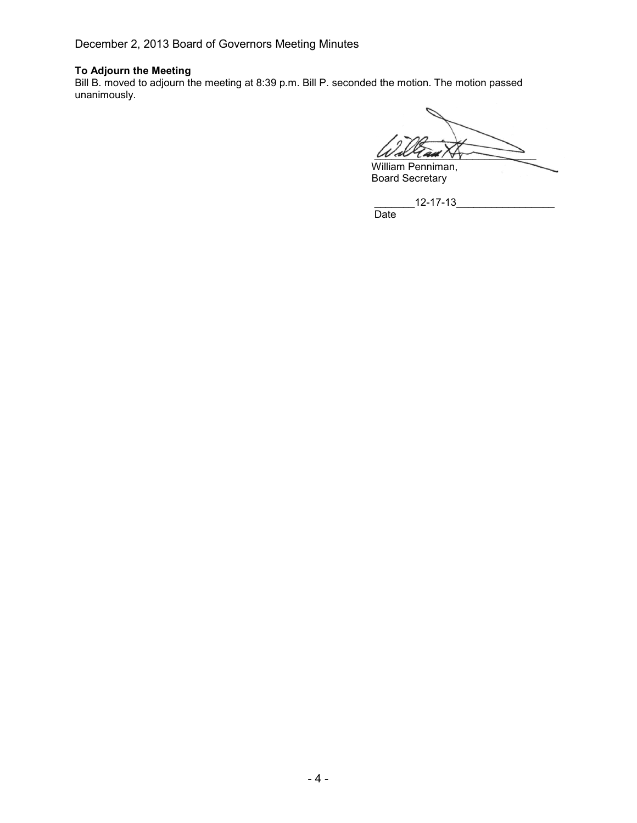December 2, 2013 Board of Governors Meeting Minutes

## To Adjourn the Meeting

Bill B. moved to adjourn the meeting at 8:39 p.m. Bill P. seconded the motion. The motion passed unanimously.

 $W$  al  $1$  and  $N_T$ William Penniman,

Board Secretary

 $12 - 17 - 13$ 

Date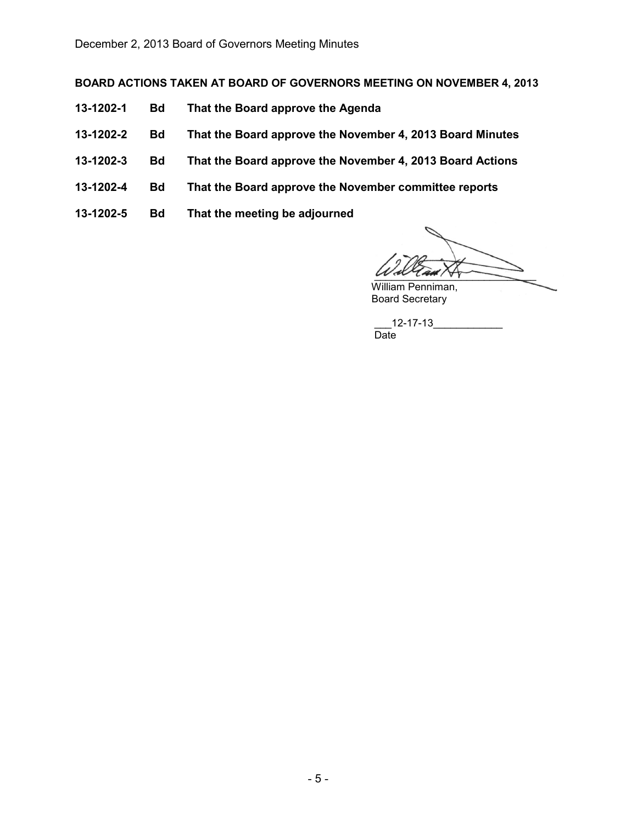# BOARD ACTIONS TAKEN AT BOARD OF GOVERNORS MEETING ON NOVEMBER 4, 2013

- 13-1202-1 Bd That the Board approve the Agenda
- 13-1202-2 Bd That the Board approve the November 4, 2013 Board Minutes
- 13-1202-3 Bd That the Board approve the November 4, 2013 Board Actions
- 13-1202-4 Bd That the Board approve the November committee reports
- 13-1202-5 Bd That the meeting be adjourned

 $u$  are  $u$ 

William Penniman, Board Secretary

 $12 - 17 - 13$ Date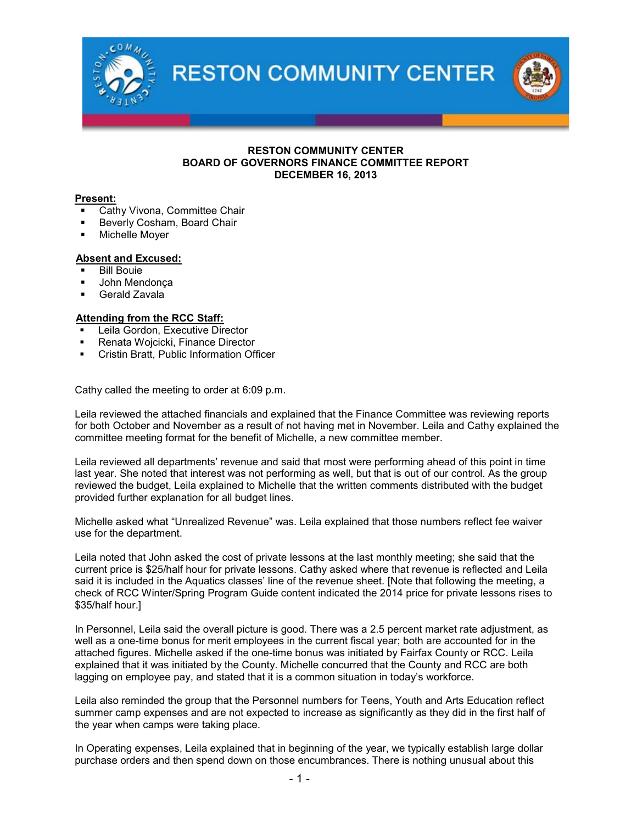**RESTON COMMUNITY CENTER** 

#### RESTON COMMUNITY CENTER BOARD OF GOVERNORS FINANCE COMMITTEE REPORT DECEMBER 16, 2013

## Present:

- Cathy Vivona, Committee Chair
- Beverly Cosham, Board Chair
- Michelle Moyer

## Absent and Excused:

- Bill Bouie
- John Mendonça
- Gerald Zavala

## Attending from the RCC Staff:

- Leila Gordon, Executive Director
- Renata Wojcicki, Finance Director
- Cristin Bratt, Public Information Officer

Cathy called the meeting to order at 6:09 p.m.

Leila reviewed the attached financials and explained that the Finance Committee was reviewing reports for both October and November as a result of not having met in November. Leila and Cathy explained the committee meeting format for the benefit of Michelle, a new committee member.

Leila reviewed all departments' revenue and said that most were performing ahead of this point in time last year. She noted that interest was not performing as well, but that is out of our control. As the group reviewed the budget, Leila explained to Michelle that the written comments distributed with the budget provided further explanation for all budget lines.

Michelle asked what "Unrealized Revenue" was. Leila explained that those numbers reflect fee waiver use for the department.

Leila noted that John asked the cost of private lessons at the last monthly meeting; she said that the current price is \$25/half hour for private lessons. Cathy asked where that revenue is reflected and Leila said it is included in the Aquatics classes' line of the revenue sheet. [Note that following the meeting, a check of RCC Winter/Spring Program Guide content indicated the 2014 price for private lessons rises to \$35/half hour.]

In Personnel, Leila said the overall picture is good. There was a 2.5 percent market rate adjustment, as well as a one-time bonus for merit employees in the current fiscal year; both are accounted for in the attached figures. Michelle asked if the one-time bonus was initiated by Fairfax County or RCC. Leila explained that it was initiated by the County. Michelle concurred that the County and RCC are both lagging on employee pay, and stated that it is a common situation in today's workforce.

Leila also reminded the group that the Personnel numbers for Teens, Youth and Arts Education reflect summer camp expenses and are not expected to increase as significantly as they did in the first half of the year when camps were taking place.

In Operating expenses, Leila explained that in beginning of the year, we typically establish large dollar purchase orders and then spend down on those encumbrances. There is nothing unusual about this